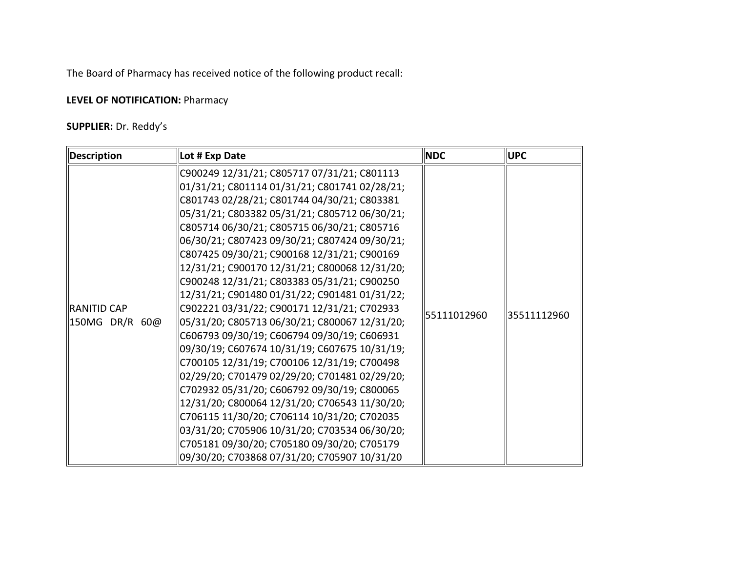The Board of Pharmacy has received notice of the following product recall:

## **LEVEL OF NOTIFICATION: Pharmacy**

## **SUPPLIER:** Dr. Reddy's

| <b>Description</b>            | Lot # Exp Date                                                                                                                                                                                                                                                                                                                                                                                                                                                                                                                                                                                                                                                                                                                                   | <b>NDC</b>  | <b>UPC</b>  |
|-------------------------------|--------------------------------------------------------------------------------------------------------------------------------------------------------------------------------------------------------------------------------------------------------------------------------------------------------------------------------------------------------------------------------------------------------------------------------------------------------------------------------------------------------------------------------------------------------------------------------------------------------------------------------------------------------------------------------------------------------------------------------------------------|-------------|-------------|
|                               | C900249 12/31/21; C805717 07/31/21; C801113<br>01/31/21; C801114 01/31/21; C801741 02/28/21;<br>C801743 02/28/21; C801744 04/30/21; C803381<br>05/31/21; C803382 05/31/21; C805712 06/30/21;<br>C805714 06/30/21; C805715 06/30/21; C805716                                                                                                                                                                                                                                                                                                                                                                                                                                                                                                      |             |             |
| RANITID CAP<br>150MG DR/R 60@ | 06/30/21; C807423 09/30/21; C807424 09/30/21;<br>C807425 09/30/21; C900168 12/31/21; C900169<br> 12/31/21; C900170 12/31/21; C800068 12/31/20;<br>C900248 12/31/21; C803383 05/31/21; C900250<br> 12/31/21; C901480 01/31/22; C901481 01/31/22;<br>C902221 03/31/22; C900171 12/31/21; C702933<br>05/31/20; C805713 06/30/21; C800067 12/31/20;<br>C606793 09/30/19; C606794 09/30/19; C606931<br>09/30/19; C607674 10/31/19; C607675 10/31/19;<br>C700105 12/31/19; C700106 12/31/19; C700498<br>02/29/20; C701479 02/29/20; C701481 02/29/20;<br>C702932 05/31/20; C606792 09/30/19; C800065<br>12/31/20; C800064 12/31/20; C706543 11/30/20;<br>C706115 11/30/20; C706114 10/31/20; C702035]<br>03/31/20; C705906 10/31/20; C703534 06/30/20; | 55111012960 | 35511112960 |
|                               | C705181 09/30/20; C705180 09/30/20; C705179<br>09/30/20; C703868 07/31/20; C705907 10/31/20                                                                                                                                                                                                                                                                                                                                                                                                                                                                                                                                                                                                                                                      |             |             |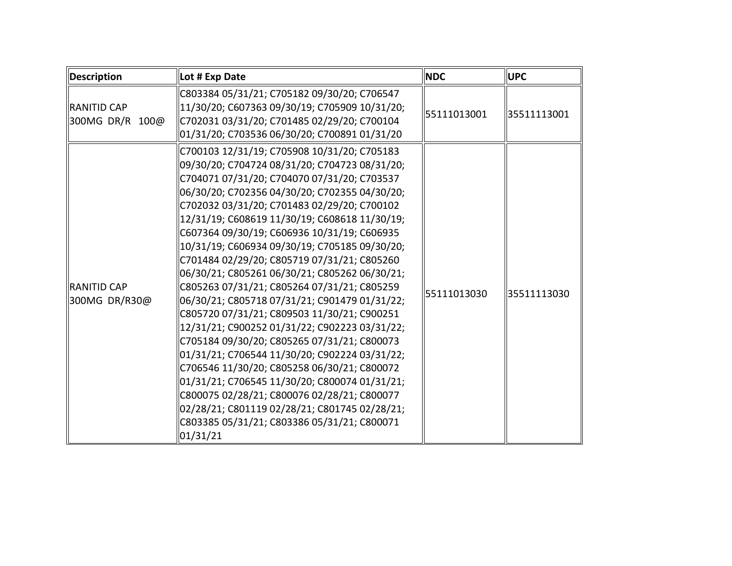| Description                          | Lot # Exp Date                                                                                                                                                                                                                                                                                                                                                                                                                                                                                                                                                                                                                                                                                                                                                                                                                                                                                                                                                                                                                                                         | <b>INDC</b> | <b>UPC</b>  |
|--------------------------------------|------------------------------------------------------------------------------------------------------------------------------------------------------------------------------------------------------------------------------------------------------------------------------------------------------------------------------------------------------------------------------------------------------------------------------------------------------------------------------------------------------------------------------------------------------------------------------------------------------------------------------------------------------------------------------------------------------------------------------------------------------------------------------------------------------------------------------------------------------------------------------------------------------------------------------------------------------------------------------------------------------------------------------------------------------------------------|-------------|-------------|
| RANITID CAP<br>300MG DR/R 100@       | C803384 05/31/21; C705182 09/30/20; C706547<br>  11/30/20; C607363 09/30/19; C705909 10/31/20;<br>C702031 03/31/20; C701485 02/29/20; C700104<br>01/31/20; C703536 06/30/20; C700891 01/31/20                                                                                                                                                                                                                                                                                                                                                                                                                                                                                                                                                                                                                                                                                                                                                                                                                                                                          | 55111013001 | 35511113001 |
| <b>IRANITID CAP</b><br>300MG DR/R30@ | C700103 12/31/19; C705908 10/31/20; C705183<br>09/30/20; C704724 08/31/20; C704723 08/31/20;<br>C704071 07/31/20; C704070 07/31/20; C703537<br>06/30/20; C702356 04/30/20; C702355 04/30/20;<br>C702032 03/31/20; C701483 02/29/20; C700102<br>12/31/19; C608619 11/30/19; C608618 11/30/19;<br>C607364 09/30/19; C606936 10/31/19; C606935<br>10/31/19; C606934 09/30/19; C705185 09/30/20;<br>C701484 02/29/20; C805719 07/31/21; C805260<br>06/30/21; C805261 06/30/21; C805262 06/30/21;<br>C805263 07/31/21; C805264 07/31/21; C805259<br>06/30/21; C805718 07/31/21; C901479 01/31/22;<br>C805720 07/31/21; C809503 11/30/21; C900251<br> 12/31/21; C900252 01/31/22; C902223 03/31/22;<br>C705184 09/30/20; C805265 07/31/21; C800073<br>01/31/21; C706544 11/30/20; C902224 03/31/22;<br>C706546 11/30/20; C805258 06/30/21; C800072<br>01/31/21; C706545 11/30/20; C800074 01/31/21;<br>C800075 02/28/21; C800076 02/28/21; C800077<br>02/28/21; C801119 02/28/21; C801745 02/28/21;<br>C803385 05/31/21; C803386 05/31/21; C800071<br>$\vert 01/31/21 \vert$ | 55111013030 | 35511113030 |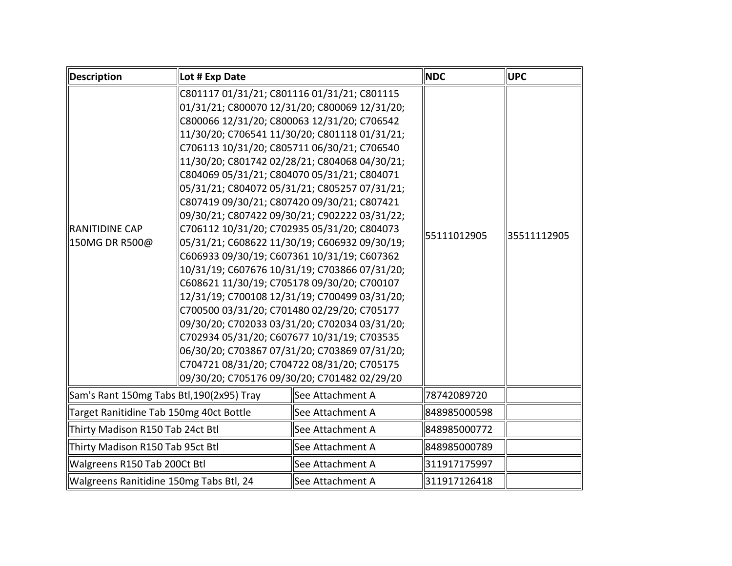| <b>Description</b>                        | Lot # Exp Date                                                                                                                                                                                                                                                                                                                                                                                                                                                                                                                                                                    |                                                                                                                                                                                                                                                                                                                                                                                                                                                                                                        | <b>NDC</b>   | <b>UPC</b>  |
|-------------------------------------------|-----------------------------------------------------------------------------------------------------------------------------------------------------------------------------------------------------------------------------------------------------------------------------------------------------------------------------------------------------------------------------------------------------------------------------------------------------------------------------------------------------------------------------------------------------------------------------------|--------------------------------------------------------------------------------------------------------------------------------------------------------------------------------------------------------------------------------------------------------------------------------------------------------------------------------------------------------------------------------------------------------------------------------------------------------------------------------------------------------|--------------|-------------|
| <b>RANITIDINE CAP</b><br>  150MG DR R500@ | C801117 01/31/21; C801116 01/31/21; C801115<br>C800066 12/31/20; C800063 12/31/20; C706542<br>C706113 10/31/20; C805711 06/30/21; C706540<br>C804069 05/31/21; C804070 05/31/21; C804071<br>C807419 09/30/21; C807420 09/30/21; C807421<br>C706112 10/31/20; C702935 05/31/20; C804073<br>C606933 09/30/19; C607361 10/31/19; C607362<br>C608621 11/30/19; C705178 09/30/20; C700107<br>C700500 03/31/20; C701480 02/29/20; C705177<br>C702934 05/31/20; C607677 10/31/19; C703535<br>C704721 08/31/20; C704722 08/31/20; C705175<br>09/30/20; C705176 09/30/20; C701482 02/29/20 | 01/31/21; C800070 12/31/20; C800069 12/31/20;<br>11/30/20; C706541 11/30/20; C801118 01/31/21;<br>11/30/20; C801742 02/28/21; C804068 04/30/21;<br>05/31/21; C804072 05/31/21; C805257 07/31/21;<br>09/30/21; C807422 09/30/21; C902222 03/31/22;<br>05/31/21; C608622 11/30/19; C606932 09/30/19;<br>10/31/19; C607676 10/31/19; C703866 07/31/20;<br>12/31/19; C700108 12/31/19; C700499 03/31/20;<br>09/30/20; C702033 03/31/20; C702034 03/31/20;<br>06/30/20; C703867 07/31/20; C703869 07/31/20; | 55111012905  | 35511112905 |
| Sam's Rant 150mg Tabs Btl, 190(2x95) Tray |                                                                                                                                                                                                                                                                                                                                                                                                                                                                                                                                                                                   | See Attachment A                                                                                                                                                                                                                                                                                                                                                                                                                                                                                       | 78742089720  |             |
| Target Ranitidine Tab 150mg 40ct Bottle   |                                                                                                                                                                                                                                                                                                                                                                                                                                                                                                                                                                                   | See Attachment A                                                                                                                                                                                                                                                                                                                                                                                                                                                                                       | 848985000598 |             |
| Thirty Madison R150 Tab 24ct Btl          |                                                                                                                                                                                                                                                                                                                                                                                                                                                                                                                                                                                   | See Attachment A                                                                                                                                                                                                                                                                                                                                                                                                                                                                                       | 848985000772 |             |
| Thirty Madison R150 Tab 95ct Btl          |                                                                                                                                                                                                                                                                                                                                                                                                                                                                                                                                                                                   | See Attachment A                                                                                                                                                                                                                                                                                                                                                                                                                                                                                       | 848985000789 |             |
| Walgreens R150 Tab 200Ct Btl              |                                                                                                                                                                                                                                                                                                                                                                                                                                                                                                                                                                                   | See Attachment A                                                                                                                                                                                                                                                                                                                                                                                                                                                                                       | 311917175997 |             |
| Walgreens Ranitidine 150mg Tabs Btl, 24   |                                                                                                                                                                                                                                                                                                                                                                                                                                                                                                                                                                                   | See Attachment A                                                                                                                                                                                                                                                                                                                                                                                                                                                                                       | 311917126418 |             |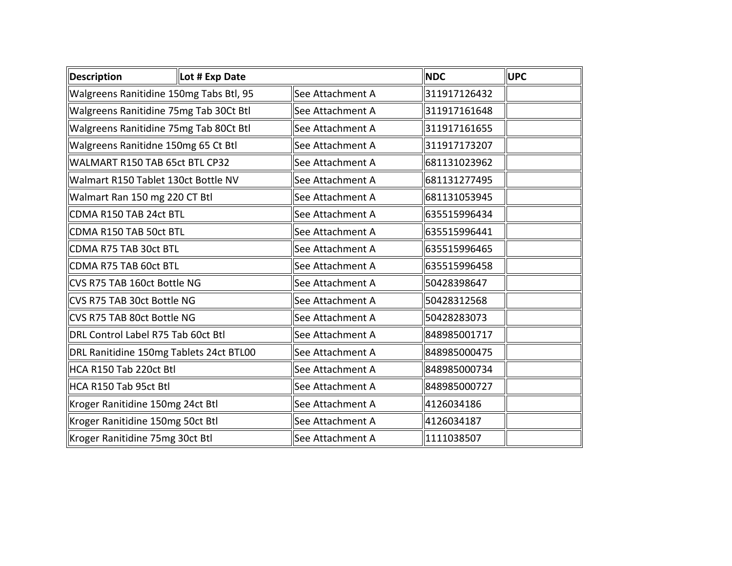| Description                        | Lot # Exp Date                          |                  | <b>NDC</b>   | <b>UPC</b> |
|------------------------------------|-----------------------------------------|------------------|--------------|------------|
|                                    | Walgreens Ranitidine 150mg Tabs Btl, 95 | See Attachment A | 311917126432 |            |
|                                    | Walgreens Ranitidine 75mg Tab 30Ct Btl  | See Attachment A | 311917161648 |            |
|                                    | Walgreens Ranitidine 75mg Tab 80Ct Btl  | See Attachment A | 311917161655 |            |
|                                    | Walgreens Ranitidne 150mg 65 Ct Btl     | See Attachment A | 311917173207 |            |
| WALMART R150 TAB 65ct BTL CP32     |                                         | See Attachment A | 681131023962 |            |
|                                    | Walmart R150 Tablet 130ct Bottle NV     | See Attachment A | 681131277495 |            |
| Walmart Ran 150 mg 220 CT Btl      |                                         | See Attachment A | 681131053945 |            |
| CDMA R150 TAB 24ct BTL             |                                         | See Attachment A | 635515996434 |            |
| CDMA R150 TAB 50ct BTL             |                                         | See Attachment A | 635515996441 |            |
| CDMA R75 TAB 30ct BTL              |                                         | See Attachment A | 635515996465 |            |
| CDMA R75 TAB 60ct BTL              |                                         | See Attachment A | 635515996458 |            |
| CVS R75 TAB 160ct Bottle NG        |                                         | See Attachment A | 50428398647  |            |
| CVS R75 TAB 30ct Bottle NG         |                                         | See Attachment A | 50428312568  |            |
| CVS R75 TAB 80ct Bottle NG         |                                         | See Attachment A | 50428283073  |            |
| DRL Control Label R75 Tab 60ct Btl |                                         | See Attachment A | 848985001717 |            |
|                                    | DRL Ranitidine 150mg Tablets 24ct BTL00 | See Attachment A | 848985000475 |            |
| HCA R150 Tab 220ct Btl             |                                         | See Attachment A | 848985000734 |            |
| HCA R150 Tab 95ct Btl              |                                         | See Attachment A | 848985000727 |            |
| Kroger Ranitidine 150mg 24ct Btl   |                                         | See Attachment A | 4126034186   |            |
| Kroger Ranitidine 150mg 50ct Btl   |                                         | See Attachment A | 4126034187   |            |
| Kroger Ranitidine 75mg 30ct Btl    |                                         | See Attachment A | 1111038507   |            |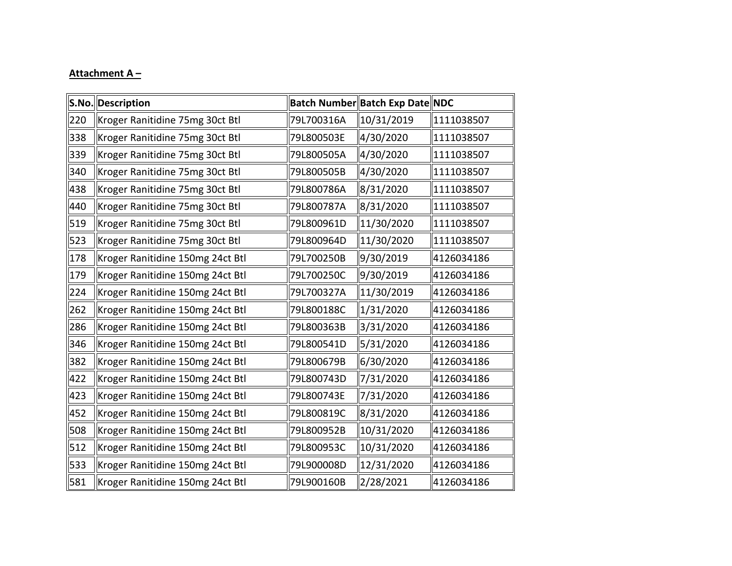## **Attachment A –**

|     | S.No. Description                |            | Batch Number Batch Exp Date NDC |            |
|-----|----------------------------------|------------|---------------------------------|------------|
| 220 | Kroger Ranitidine 75mg 30ct Btl  | 79L700316A | 10/31/2019                      | 1111038507 |
| 338 | Kroger Ranitidine 75mg 30ct Btl  | 79L800503E | 4/30/2020                       | 1111038507 |
| 339 | Kroger Ranitidine 75mg 30ct Btl  | 79L800505A | 4/30/2020                       | 1111038507 |
| 340 | Kroger Ranitidine 75mg 30ct Btl  | 79L800505B | 4/30/2020                       | 1111038507 |
| 438 | Kroger Ranitidine 75mg 30ct Btl  | 79L800786A | 8/31/2020                       | 1111038507 |
| 440 | Kroger Ranitidine 75mg 30ct Btl  | 79L800787A | 8/31/2020                       | 1111038507 |
| 519 | Kroger Ranitidine 75mg 30ct Btl  | 79L800961D | 11/30/2020                      | 1111038507 |
| 523 | Kroger Ranitidine 75mg 30ct Btl  | 79L800964D | 11/30/2020                      | 1111038507 |
| 178 | Kroger Ranitidine 150mg 24ct Btl | 79L700250B | 9/30/2019                       | 4126034186 |
| 179 | Kroger Ranitidine 150mg 24ct Btl | 79L700250C | 9/30/2019                       | 4126034186 |
| 224 | Kroger Ranitidine 150mg 24ct Btl | 79L700327A | 11/30/2019                      | 4126034186 |
| 262 | Kroger Ranitidine 150mg 24ct Btl | 79L800188C | 1/31/2020                       | 4126034186 |
| 286 | Kroger Ranitidine 150mg 24ct Btl | 79L800363B | 3/31/2020                       | 4126034186 |
| 346 | Kroger Ranitidine 150mg 24ct Btl | 79L800541D | 5/31/2020                       | 4126034186 |
| 382 | Kroger Ranitidine 150mg 24ct Btl | 79L800679B | 6/30/2020                       | 4126034186 |
| 422 | Kroger Ranitidine 150mg 24ct Btl | 79L800743D | 7/31/2020                       | 4126034186 |
| 423 | Kroger Ranitidine 150mg 24ct Btl | 79L800743E | 7/31/2020                       | 4126034186 |
| 452 | Kroger Ranitidine 150mg 24ct Btl | 79L800819C | 8/31/2020                       | 4126034186 |
| 508 | Kroger Ranitidine 150mg 24ct Btl | 79L800952B | 10/31/2020                      | 4126034186 |
| 512 | Kroger Ranitidine 150mg 24ct Btl | 79L800953C | 10/31/2020                      | 4126034186 |
| 533 | Kroger Ranitidine 150mg 24ct Btl | 79L900008D | 12/31/2020                      | 4126034186 |
| 581 | Kroger Ranitidine 150mg 24ct Btl | 79L900160B | 2/28/2021                       | 4126034186 |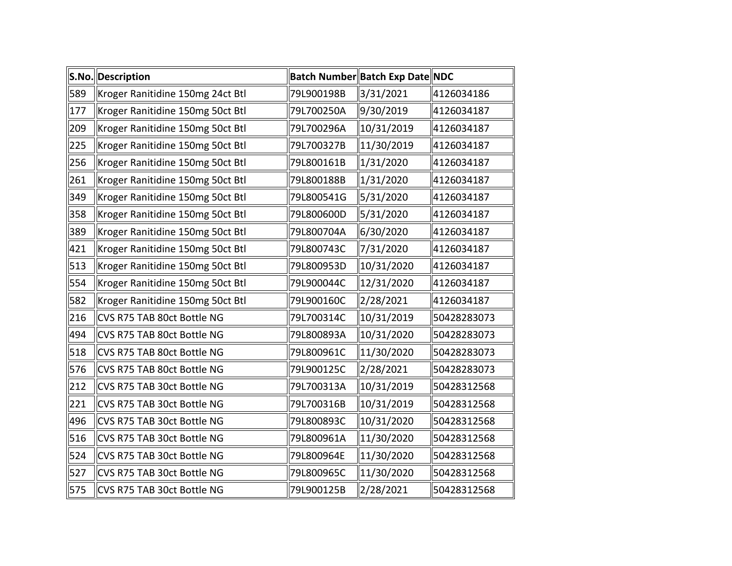|     | S.No. Description                |            | Batch Number Batch Exp Date NDC |             |
|-----|----------------------------------|------------|---------------------------------|-------------|
| 589 | Kroger Ranitidine 150mg 24ct Btl | 79L900198B | 3/31/2021                       | 4126034186  |
| 177 | Kroger Ranitidine 150mg 50ct Btl | 79L700250A | 9/30/2019                       | 4126034187  |
| 209 | Kroger Ranitidine 150mg 50ct Btl | 79L700296A | 10/31/2019                      | 4126034187  |
| 225 | Kroger Ranitidine 150mg 50ct Btl | 79L700327B | 11/30/2019                      | 4126034187  |
| 256 | Kroger Ranitidine 150mg 50ct Btl | 79L800161B | 1/31/2020                       | 4126034187  |
| 261 | Kroger Ranitidine 150mg 50ct Btl | 79L800188B | 1/31/2020                       | 4126034187  |
| 349 | Kroger Ranitidine 150mg 50ct Btl | 79L800541G | 5/31/2020                       | 4126034187  |
| 358 | Kroger Ranitidine 150mg 50ct Btl | 79L800600D | 5/31/2020                       | 4126034187  |
| 389 | Kroger Ranitidine 150mg 50ct Btl | 79L800704A | 6/30/2020                       | 4126034187  |
| 421 | Kroger Ranitidine 150mg 50ct Btl | 79L800743C | 7/31/2020                       | 4126034187  |
| 513 | Kroger Ranitidine 150mg 50ct Btl | 79L800953D | 10/31/2020                      | 4126034187  |
| 554 | Kroger Ranitidine 150mg 50ct Btl | 79L900044C | 12/31/2020                      | 4126034187  |
| 582 | Kroger Ranitidine 150mg 50ct Btl | 79L900160C | 2/28/2021                       | 4126034187  |
| 216 | CVS R75 TAB 80ct Bottle NG       | 79L700314C | 10/31/2019                      | 50428283073 |
| 494 | CVS R75 TAB 80ct Bottle NG       | 79L800893A | 10/31/2020                      | 50428283073 |
| 518 | CVS R75 TAB 80ct Bottle NG       | 79L800961C | 11/30/2020                      | 50428283073 |
| 576 | CVS R75 TAB 80ct Bottle NG       | 79L900125C | 2/28/2021                       | 50428283073 |
| 212 | CVS R75 TAB 30ct Bottle NG       | 79L700313A | 10/31/2019                      | 50428312568 |
| 221 | CVS R75 TAB 30ct Bottle NG       | 79L700316B | 10/31/2019                      | 50428312568 |
| 496 | CVS R75 TAB 30ct Bottle NG       | 79L800893C | 10/31/2020                      | 50428312568 |
| 516 | CVS R75 TAB 30ct Bottle NG       | 79L800961A | 11/30/2020                      | 50428312568 |
| 524 | CVS R75 TAB 30ct Bottle NG       | 79L800964E | 11/30/2020                      | 50428312568 |
| 527 | CVS R75 TAB 30ct Bottle NG       | 79L800965C | 11/30/2020                      | 50428312568 |
| 575 | CVS R75 TAB 30ct Bottle NG       | 79L900125B | 2/28/2021                       | 50428312568 |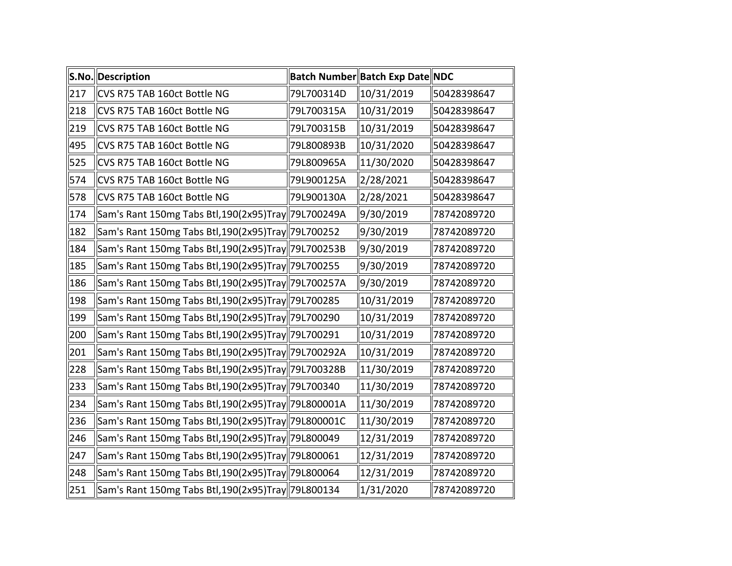|     | S.No. Description                                   |            | Batch Number Batch Exp Date NDC |             |
|-----|-----------------------------------------------------|------------|---------------------------------|-------------|
| 217 | CVS R75 TAB 160ct Bottle NG                         | 79L700314D | 10/31/2019                      | 50428398647 |
| 218 | CVS R75 TAB 160ct Bottle NG                         | 79L700315A | 10/31/2019                      | 50428398647 |
| 219 | CVS R75 TAB 160ct Bottle NG                         | 79L700315B | 10/31/2019                      | 50428398647 |
| 495 | CVS R75 TAB 160ct Bottle NG                         | 79L800893B | 10/31/2020                      | 50428398647 |
| 525 | CVS R75 TAB 160ct Bottle NG                         | 79L800965A | 11/30/2020                      | 50428398647 |
| 574 | CVS R75 TAB 160ct Bottle NG                         | 79L900125A | 2/28/2021                       | 50428398647 |
| 578 | CVS R75 TAB 160ct Bottle NG                         | 79L900130A | 2/28/2021                       | 50428398647 |
| 174 | Sam's Rant 150mg Tabs Btl, 190(2x95)Tray 79L700249A |            | 9/30/2019                       | 78742089720 |
| 182 | Sam's Rant 150mg Tabs Btl,190(2x95)Tray  79L700252  |            | 9/30/2019                       | 78742089720 |
| 184 | Sam's Rant 150mg Tabs Btl,190(2x95)Tray  79L700253B |            | 9/30/2019                       | 78742089720 |
| 185 | Sam's Rant 150mg Tabs Btl,190(2x95)Tray  79L700255  |            | 9/30/2019                       | 78742089720 |
| 186 | Sam's Rant 150mg Tabs Btl,190(2x95)Tray  79L700257A |            | 9/30/2019                       | 78742089720 |
| 198 | Sam's Rant 150mg Tabs Btl,190(2x95)Tray  79L700285  |            | 10/31/2019                      | 78742089720 |
| 199 | Sam's Rant 150mg Tabs Btl,190(2x95)Tray  79L700290  |            | 10/31/2019                      | 78742089720 |
| 200 | Sam's Rant 150mg Tabs Btl,190(2x95)Tray  79L700291  |            | 10/31/2019                      | 78742089720 |
| 201 | Sam's Rant 150mg Tabs Btl,190(2x95)Tray  79L700292A |            | 10/31/2019                      | 78742089720 |
| 228 | Sam's Rant 150mg Tabs Btl,190(2x95)Tray  79L700328B |            | 11/30/2019                      | 78742089720 |
| 233 | Sam's Rant 150mg Tabs Btl,190(2x95)Tray  79L700340  |            | 11/30/2019                      | 78742089720 |
| 234 | Sam's Rant 150mg Tabs Btl,190(2x95)Tray  79L800001A |            | 11/30/2019                      | 78742089720 |
| 236 | Sam's Rant 150mg Tabs Btl,190(2x95)Tray  79L800001C |            | 11/30/2019                      | 78742089720 |
| 246 | Sam's Rant 150mg Tabs Btl,190(2x95)Tray  79L800049  |            | 12/31/2019                      | 78742089720 |
| 247 | Sam's Rant 150mg Tabs Btl,190(2x95)Tray  79L800061  |            | 12/31/2019                      | 78742089720 |
| 248 | Sam's Rant 150mg Tabs Btl,190(2x95)Tray  79L800064  |            | 12/31/2019                      | 78742089720 |
| 251 | Sam's Rant 150mg Tabs Btl,190(2x95)Tray  79L800134  |            | 1/31/2020                       | 78742089720 |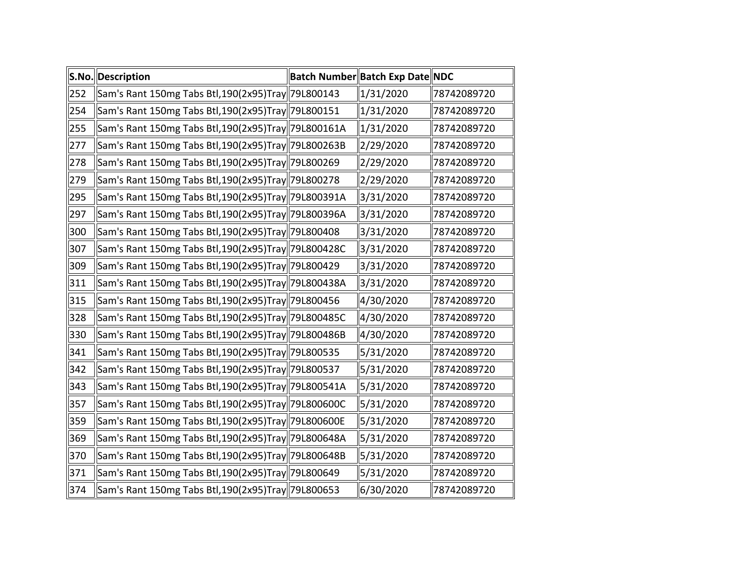|     | S.No. Description                                   | Batch Number Batch Exp Date NDC |             |
|-----|-----------------------------------------------------|---------------------------------|-------------|
| 252 | Sam's Rant 150mg Tabs Btl,190(2x95)Tray  79L800143  | 1/31/2020                       | 78742089720 |
| 254 | Sam's Rant 150mg Tabs Btl,190(2x95)Tray  79L800151  | 1/31/2020                       | 78742089720 |
| 255 | Sam's Rant 150mg Tabs Btl,190(2x95)Tray  79L800161A | 1/31/2020                       | 78742089720 |
| 277 | Sam's Rant 150mg Tabs Btl,190(2x95)Tray  79L800263B | 2/29/2020                       | 78742089720 |
| 278 | Sam's Rant 150mg Tabs Btl,190(2x95)Tray  79L800269  | 2/29/2020                       | 78742089720 |
| 279 | Sam's Rant 150mg Tabs Btl,190(2x95)Tray  79L800278  | 2/29/2020                       | 78742089720 |
| 295 | Sam's Rant 150mg Tabs Btl,190(2x95)Tray  79L800391A | 3/31/2020                       | 78742089720 |
| 297 | Sam's Rant 150mg Tabs Btl,190(2x95)Tray  79L800396A | 3/31/2020                       | 78742089720 |
| 300 | Sam's Rant 150mg Tabs Btl,190(2x95)Tray  79L800408  | 3/31/2020                       | 78742089720 |
| 307 | Sam's Rant 150mg Tabs Btl,190(2x95)Tray  79L800428C | 3/31/2020                       | 78742089720 |
| 309 | Sam's Rant 150mg Tabs Btl,190(2x95)Tray  79L800429  | 3/31/2020                       | 78742089720 |
| 311 | Sam's Rant 150mg Tabs Btl,190(2x95)Tray  79L800438A | 3/31/2020                       | 78742089720 |
| 315 | Sam's Rant 150mg Tabs Btl,190(2x95)Tray  79L800456  | 4/30/2020                       | 78742089720 |
| 328 | Sam's Rant 150mg Tabs Btl,190(2x95)Tray  79L800485C | 4/30/2020                       | 78742089720 |
| 330 | Sam's Rant 150mg Tabs Btl,190(2x95)Tray  79L800486B | 4/30/2020                       | 78742089720 |
| 341 | Sam's Rant 150mg Tabs Btl,190(2x95)Tray 79L800535   | 5/31/2020                       | 78742089720 |
| 342 | Sam's Rant 150mg Tabs Btl,190(2x95)Tray  79L800537  | 5/31/2020                       | 78742089720 |
| 343 | Sam's Rant 150mg Tabs Btl,190(2x95)Tray  79L800541A | 5/31/2020                       | 78742089720 |
| 357 | Sam's Rant 150mg Tabs Btl,190(2x95)Tray  79L800600C | 5/31/2020                       | 78742089720 |
| 359 | Sam's Rant 150mg Tabs Btl,190(2x95)Tray  79L800600E | 5/31/2020                       | 78742089720 |
| 369 | Sam's Rant 150mg Tabs Btl,190(2x95)Tray  79L800648A | 5/31/2020                       | 78742089720 |
| 370 | Sam's Rant 150mg Tabs Btl,190(2x95)Tray  79L800648B | 5/31/2020                       | 78742089720 |
| 371 | Sam's Rant 150mg Tabs Btl,190(2x95)Tray  79L800649  | 5/31/2020                       | 78742089720 |
| 374 | Sam's Rant 150mg Tabs Btl,190(2x95)Tray  79L800653  | 6/30/2020                       | 78742089720 |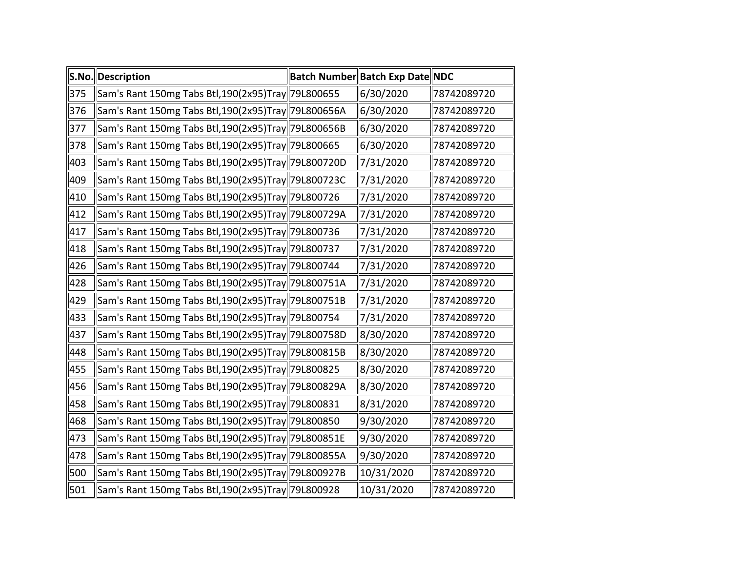|     | S.No. Description                                   | Batch Number Batch Exp Date NDC |             |
|-----|-----------------------------------------------------|---------------------------------|-------------|
| 375 | Sam's Rant 150mg Tabs Btl,190(2x95)Tray  79L800655  | 6/30/2020                       | 78742089720 |
| 376 | Sam's Rant 150mg Tabs Btl,190(2x95)Tray  79L800656A | 6/30/2020                       | 78742089720 |
| 377 | Sam's Rant 150mg Tabs Btl,190(2x95)Tray  79L800656B | 6/30/2020                       | 78742089720 |
| 378 | Sam's Rant 150mg Tabs Btl,190(2x95)Tray  79L800665  | 6/30/2020                       | 78742089720 |
| 403 | Sam's Rant 150mg Tabs Btl,190(2x95)Tray  79L800720D | 7/31/2020                       | 78742089720 |
| 409 | Sam's Rant 150mg Tabs Btl,190(2x95)Tray  79L800723C | 7/31/2020                       | 78742089720 |
| 410 | Sam's Rant 150mg Tabs Btl,190(2x95)Tray  79L800726  | 7/31/2020                       | 78742089720 |
| 412 | Sam's Rant 150mg Tabs Btl,190(2x95)Tray  79L800729A | 7/31/2020                       | 78742089720 |
| 417 | Sam's Rant 150mg Tabs Btl,190(2x95)Tray  79L800736  | 7/31/2020                       | 78742089720 |
| 418 | Sam's Rant 150mg Tabs Btl,190(2x95)Tray  79L800737  | 7/31/2020                       | 78742089720 |
| 426 | Sam's Rant 150mg Tabs Btl,190(2x95)Tray  79L800744  | 7/31/2020                       | 78742089720 |
| 428 | Sam's Rant 150mg Tabs Btl,190(2x95)Tray  79L800751A | 7/31/2020                       | 78742089720 |
| 429 | Sam's Rant 150mg Tabs Btl,190(2x95)Tray  79L800751B | 7/31/2020                       | 78742089720 |
| 433 | Sam's Rant 150mg Tabs Btl,190(2x95)Tray  79L800754  | 7/31/2020                       | 78742089720 |
| 437 | Sam's Rant 150mg Tabs Btl,190(2x95)Tray  79L800758D | 8/30/2020                       | 78742089720 |
| 448 | Sam's Rant 150mg Tabs Btl,190(2x95)Tray  79L800815B | 8/30/2020                       | 78742089720 |
| 455 | Sam's Rant 150mg Tabs Btl,190(2x95)Tray  79L800825  | 8/30/2020                       | 78742089720 |
| 456 | Sam's Rant 150mg Tabs Btl,190(2x95)Tray  79L800829A | 8/30/2020                       | 78742089720 |
| 458 | Sam's Rant 150mg Tabs Btl,190(2x95)Tray  79L800831  | 8/31/2020                       | 78742089720 |
| 468 | Sam's Rant 150mg Tabs Btl,190(2x95)Tray  79L800850  | 9/30/2020                       | 78742089720 |
| 473 | Sam's Rant 150mg Tabs Btl,190(2x95)Tray  79L800851E | 9/30/2020                       | 78742089720 |
| 478 | Sam's Rant 150mg Tabs Btl,190(2x95)Tray  79L800855A | 9/30/2020                       | 78742089720 |
| 500 | Sam's Rant 150mg Tabs Btl,190(2x95)Tray  79L800927B | 10/31/2020                      | 78742089720 |
| 501 | Sam's Rant 150mg Tabs Btl,190(2x95)Tray  79L800928  | 10/31/2020                      | 78742089720 |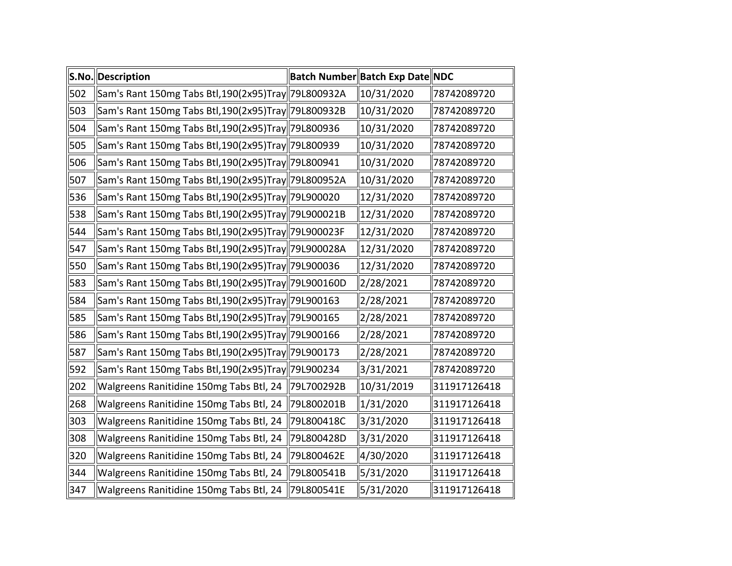|     | S.No. Description                                   |            | Batch Number Batch Exp Date NDC |              |
|-----|-----------------------------------------------------|------------|---------------------------------|--------------|
| 502 | Sam's Rant 150mg Tabs Btl,190(2x95)Tray 79L800932A  |            | 10/31/2020                      | 78742089720  |
| 503 | Sam's Rant 150mg Tabs Btl,190(2x95)Tray  79L800932B |            | 10/31/2020                      | 78742089720  |
| 504 | Sam's Rant 150mg Tabs Btl,190(2x95)Tray  79L800936  |            | 10/31/2020                      | 78742089720  |
| 505 | Sam's Rant 150mg Tabs Btl,190(2x95)Tray  79L800939  |            | 10/31/2020                      | 78742089720  |
| 506 | Sam's Rant 150mg Tabs Btl,190(2x95)Tray  79L800941  |            | 10/31/2020                      | 78742089720  |
| 507 | Sam's Rant 150mg Tabs Btl,190(2x95)Tray 79L800952A  |            | 10/31/2020                      | 78742089720  |
| 536 | Sam's Rant 150mg Tabs Btl,190(2x95)Tray  79L900020  |            | 12/31/2020                      | 78742089720  |
| 538 | Sam's Rant 150mg Tabs Btl,190(2x95)Tray  79L900021B |            | 12/31/2020                      | 78742089720  |
| 544 | Sam's Rant 150mg Tabs Btl,190(2x95)Tray  79L900023F |            | 12/31/2020                      | 78742089720  |
| 547 | Sam's Rant 150mg Tabs Btl,190(2x95)Tray  79L900028A |            | 12/31/2020                      | 78742089720  |
| 550 | Sam's Rant 150mg Tabs Btl,190(2x95)Tray  79L900036  |            | 12/31/2020                      | 78742089720  |
| 583 | Sam's Rant 150mg Tabs Btl,190(2x95)Tray  79L900160D |            | 2/28/2021                       | 78742089720  |
| 584 | Sam's Rant 150mg Tabs Btl,190(2x95)Tray  79L900163  |            | 2/28/2021                       | 78742089720  |
| 585 | Sam's Rant 150mg Tabs Btl,190(2x95)Tray  79L900165  |            | 2/28/2021                       | 78742089720  |
| 586 | Sam's Rant 150mg Tabs Btl,190(2x95)Tray 79L900166   |            | 2/28/2021                       | 78742089720  |
| 587 | Sam's Rant 150mg Tabs Btl,190(2x95)Tray  79L900173  |            | 2/28/2021                       | 78742089720  |
| 592 | Sam's Rant 150mg Tabs Btl,190(2x95)Tray  79L900234  |            | 3/31/2021                       | 78742089720  |
| 202 | Walgreens Ranitidine 150mg Tabs Btl, 24             | 79L700292B | 10/31/2019                      | 311917126418 |
| 268 | Walgreens Ranitidine 150mg Tabs Btl, 24             | 79L800201B | 1/31/2020                       | 311917126418 |
| 303 | Walgreens Ranitidine 150mg Tabs Btl, 24             | 79L800418C | 3/31/2020                       | 311917126418 |
| 308 | Walgreens Ranitidine 150mg Tabs Btl, 24             | 79L800428D | 3/31/2020                       | 311917126418 |
| 320 | Walgreens Ranitidine 150mg Tabs Btl, 24             | 79L800462E | 4/30/2020                       | 311917126418 |
| 344 | Walgreens Ranitidine 150mg Tabs Btl, 24             | 79L800541B | 5/31/2020                       | 311917126418 |
| 347 | Walgreens Ranitidine 150mg Tabs Btl, 24             | 79L800541E | 5/31/2020                       | 311917126418 |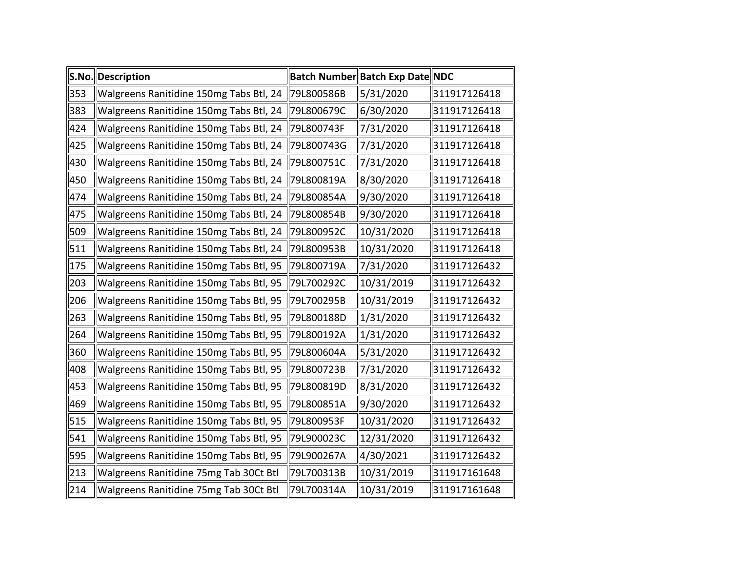|     | S.No. Description                       |            | Batch Number Batch Exp Date NDC |              |
|-----|-----------------------------------------|------------|---------------------------------|--------------|
| 353 | Walgreens Ranitidine 150mg Tabs Btl, 24 | 79L800586B | 5/31/2020                       | 311917126418 |
| 383 | Walgreens Ranitidine 150mg Tabs Btl, 24 | 79L800679C | 6/30/2020                       | 311917126418 |
| 424 | Walgreens Ranitidine 150mg Tabs Btl, 24 | 79L800743F | 7/31/2020                       | 311917126418 |
| 425 | Walgreens Ranitidine 150mg Tabs Btl, 24 | 79L800743G | 7/31/2020                       | 311917126418 |
| 430 | Walgreens Ranitidine 150mg Tabs Btl, 24 | 79L800751C | 7/31/2020                       | 311917126418 |
| 450 | Walgreens Ranitidine 150mg Tabs Btl, 24 | 79L800819A | 8/30/2020                       | 311917126418 |
| 474 | Walgreens Ranitidine 150mg Tabs Btl, 24 | 79L800854A | 9/30/2020                       | 311917126418 |
| 475 | Walgreens Ranitidine 150mg Tabs Btl, 24 | 79L800854B | 9/30/2020                       | 311917126418 |
| 509 | Walgreens Ranitidine 150mg Tabs Btl, 24 | 79L800952C | 10/31/2020                      | 311917126418 |
| 511 | Walgreens Ranitidine 150mg Tabs Btl, 24 | 79L800953B | 10/31/2020                      | 311917126418 |
| 175 | Walgreens Ranitidine 150mg Tabs Btl, 95 | 79L800719A | 7/31/2020                       | 311917126432 |
| 203 | Walgreens Ranitidine 150mg Tabs Btl, 95 | 79L700292C | 10/31/2019                      | 311917126432 |
| 206 | Walgreens Ranitidine 150mg Tabs Btl, 95 | 79L700295B | 10/31/2019                      | 311917126432 |
| 263 | Walgreens Ranitidine 150mg Tabs Btl, 95 | 79L800188D | 1/31/2020                       | 311917126432 |
| 264 | Walgreens Ranitidine 150mg Tabs Btl, 95 | 79L800192A | 1/31/2020                       | 311917126432 |
| 360 | Walgreens Ranitidine 150mg Tabs Btl, 95 | 79L800604A | 5/31/2020                       | 311917126432 |
| 408 | Walgreens Ranitidine 150mg Tabs Btl, 95 | 79L800723B | 7/31/2020                       | 311917126432 |
| 453 | Walgreens Ranitidine 150mg Tabs Btl, 95 | 79L800819D | 8/31/2020                       | 311917126432 |
| 469 | Walgreens Ranitidine 150mg Tabs Btl, 95 | 79L800851A | 9/30/2020                       | 311917126432 |
| 515 | Walgreens Ranitidine 150mg Tabs Btl, 95 | 79L800953F | 10/31/2020                      | 311917126432 |
| 541 | Walgreens Ranitidine 150mg Tabs Btl, 95 | 79L900023C | 12/31/2020                      | 311917126432 |
| 595 | Walgreens Ranitidine 150mg Tabs Btl, 95 | 79L900267A | 4/30/2021                       | 311917126432 |
| 213 | Walgreens Ranitidine 75mg Tab 30Ct Btl  | 79L700313B | 10/31/2019                      | 311917161648 |
| 214 | Walgreens Ranitidine 75mg Tab 30Ct Btl  | 79L700314A | 10/31/2019                      | 311917161648 |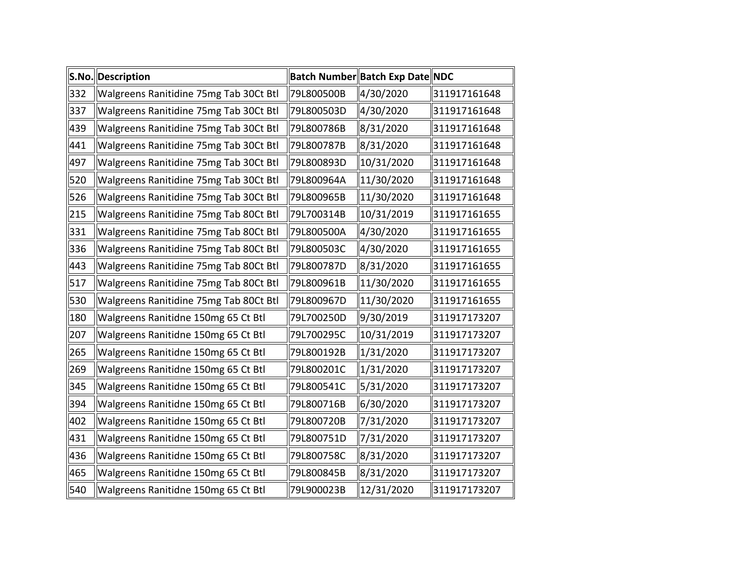|     | S.No. Description                      |            | Batch Number Batch Exp Date NDC |              |
|-----|----------------------------------------|------------|---------------------------------|--------------|
| 332 | Walgreens Ranitidine 75mg Tab 30Ct Btl | 79L800500B | 4/30/2020                       | 311917161648 |
| 337 | Walgreens Ranitidine 75mg Tab 30Ct Btl | 79L800503D | 4/30/2020                       | 311917161648 |
| 439 | Walgreens Ranitidine 75mg Tab 30Ct Btl | 79L800786B | 8/31/2020                       | 311917161648 |
| 441 | Walgreens Ranitidine 75mg Tab 30Ct Btl | 79L800787B | 8/31/2020                       | 311917161648 |
| 497 | Walgreens Ranitidine 75mg Tab 30Ct Btl | 79L800893D | 10/31/2020                      | 311917161648 |
| 520 | Walgreens Ranitidine 75mg Tab 30Ct Btl | 79L800964A | 11/30/2020                      | 311917161648 |
| 526 | Walgreens Ranitidine 75mg Tab 30Ct Btl | 79L800965B | 11/30/2020                      | 311917161648 |
| 215 | Walgreens Ranitidine 75mg Tab 80Ct Btl | 79L700314B | 10/31/2019                      | 311917161655 |
| 331 | Walgreens Ranitidine 75mg Tab 80Ct Btl | 79L800500A | 4/30/2020                       | 311917161655 |
| 336 | Walgreens Ranitidine 75mg Tab 80Ct Btl | 79L800503C | 4/30/2020                       | 311917161655 |
| 443 | Walgreens Ranitidine 75mg Tab 80Ct Btl | 79L800787D | 8/31/2020                       | 311917161655 |
| 517 | Walgreens Ranitidine 75mg Tab 80Ct Btl | 79L800961B | 11/30/2020                      | 311917161655 |
| 530 | Walgreens Ranitidine 75mg Tab 80Ct Btl | 79L800967D | 11/30/2020                      | 311917161655 |
| 180 | Walgreens Ranitidne 150mg 65 Ct Btl    | 79L700250D | 9/30/2019                       | 311917173207 |
| 207 | Walgreens Ranitidne 150mg 65 Ct Btl    | 79L700295C | 10/31/2019                      | 311917173207 |
| 265 | Walgreens Ranitidne 150mg 65 Ct Btl    | 79L800192B | 1/31/2020                       | 311917173207 |
| 269 | Walgreens Ranitidne 150mg 65 Ct Btl    | 79L800201C | 1/31/2020                       | 311917173207 |
| 345 | Walgreens Ranitidne 150mg 65 Ct Btl    | 79L800541C | 5/31/2020                       | 311917173207 |
| 394 | Walgreens Ranitidne 150mg 65 Ct Btl    | 79L800716B | 6/30/2020                       | 311917173207 |
| 402 | Walgreens Ranitidne 150mg 65 Ct Btl    | 79L800720B | 7/31/2020                       | 311917173207 |
| 431 | Walgreens Ranitidne 150mg 65 Ct Btl    | 79L800751D | 7/31/2020                       | 311917173207 |
| 436 | Walgreens Ranitidne 150mg 65 Ct Btl    | 79L800758C | 8/31/2020                       | 311917173207 |
| 465 | Walgreens Ranitidne 150mg 65 Ct Btl    | 79L800845B | 8/31/2020                       | 311917173207 |
| 540 | Walgreens Ranitidne 150mg 65 Ct Btl    | 79L900023B | 12/31/2020                      | 311917173207 |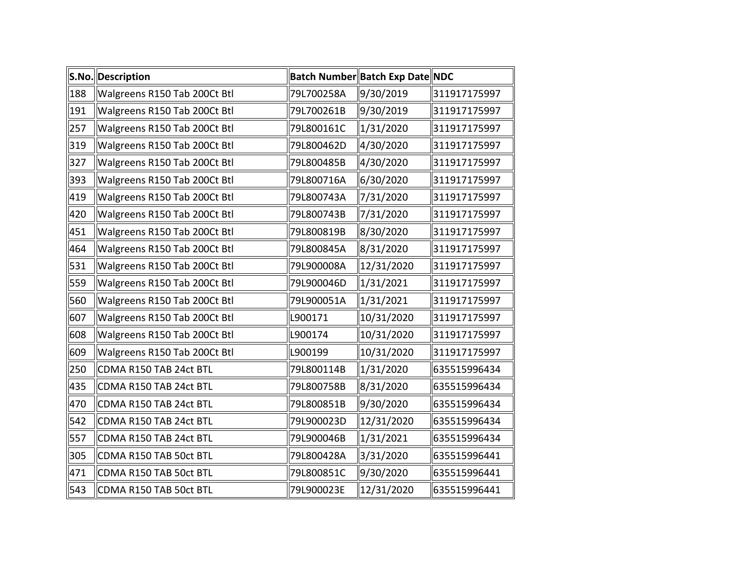|     | S.No. Description            |            | Batch Number Batch Exp Date NDC |              |
|-----|------------------------------|------------|---------------------------------|--------------|
| 188 | Walgreens R150 Tab 200Ct Btl | 79L700258A | 9/30/2019                       | 311917175997 |
| 191 | Walgreens R150 Tab 200Ct Btl | 79L700261B | 9/30/2019                       | 311917175997 |
| 257 | Walgreens R150 Tab 200Ct Btl | 79L800161C | 1/31/2020                       | 311917175997 |
| 319 | Walgreens R150 Tab 200Ct Btl | 79L800462D | 4/30/2020                       | 311917175997 |
| 327 | Walgreens R150 Tab 200Ct Btl | 79L800485B | 4/30/2020                       | 311917175997 |
| 393 | Walgreens R150 Tab 200Ct Btl | 79L800716A | 6/30/2020                       | 311917175997 |
| 419 | Walgreens R150 Tab 200Ct Btl | 79L800743A | 7/31/2020                       | 311917175997 |
| 420 | Walgreens R150 Tab 200Ct Btl | 79L800743B | 7/31/2020                       | 311917175997 |
| 451 | Walgreens R150 Tab 200Ct Btl | 79L800819B | 8/30/2020                       | 311917175997 |
| 464 | Walgreens R150 Tab 200Ct Btl | 79L800845A | 8/31/2020                       | 311917175997 |
| 531 | Walgreens R150 Tab 200Ct Btl | 79L900008A | 12/31/2020                      | 311917175997 |
| 559 | Walgreens R150 Tab 200Ct Btl | 79L900046D | 1/31/2021                       | 311917175997 |
| 560 | Walgreens R150 Tab 200Ct Btl | 79L900051A | 1/31/2021                       | 311917175997 |
| 607 | Walgreens R150 Tab 200Ct Btl | L900171    | 10/31/2020                      | 311917175997 |
| 608 | Walgreens R150 Tab 200Ct Btl | L900174    | 10/31/2020                      | 311917175997 |
| 609 | Walgreens R150 Tab 200Ct Btl | L900199    | 10/31/2020                      | 311917175997 |
| 250 | CDMA R150 TAB 24ct BTL       | 79L800114B | 1/31/2020                       | 635515996434 |
| 435 | CDMA R150 TAB 24ct BTL       | 79L800758B | 8/31/2020                       | 635515996434 |
| 470 | CDMA R150 TAB 24ct BTL       | 79L800851B | 9/30/2020                       | 635515996434 |
| 542 | CDMA R150 TAB 24ct BTL       | 79L900023D | 12/31/2020                      | 635515996434 |
| 557 | CDMA R150 TAB 24ct BTL       | 79L900046B | 1/31/2021                       | 635515996434 |
| 305 | CDMA R150 TAB 50ct BTL       | 79L800428A | 3/31/2020                       | 635515996441 |
| 471 | CDMA R150 TAB 50ct BTL       | 79L800851C | 9/30/2020                       | 635515996441 |
| 543 | CDMA R150 TAB 50ct BTL       | 79L900023E | 12/31/2020                      | 635515996441 |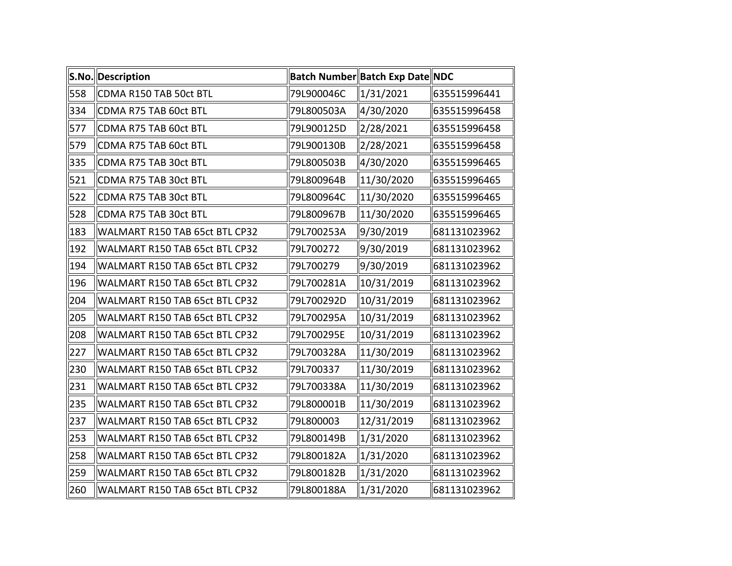|     | S.No. Description              |            | Batch Number Batch Exp Date NDC |              |
|-----|--------------------------------|------------|---------------------------------|--------------|
| 558 | CDMA R150 TAB 50ct BTL         | 79L900046C | 1/31/2021                       | 635515996441 |
| 334 | CDMA R75 TAB 60ct BTL          | 79L800503A | 4/30/2020                       | 635515996458 |
| 577 | CDMA R75 TAB 60ct BTL          | 79L900125D | 2/28/2021                       | 635515996458 |
| 579 | CDMA R75 TAB 60ct BTL          | 79L900130B | 2/28/2021                       | 635515996458 |
| 335 | CDMA R75 TAB 30ct BTL          | 79L800503B | 4/30/2020                       | 635515996465 |
| 521 | CDMA R75 TAB 30ct BTL          | 79L800964B | 11/30/2020                      | 635515996465 |
| 522 | CDMA R75 TAB 30ct BTL          | 79L800964C | 11/30/2020                      | 635515996465 |
| 528 | CDMA R75 TAB 30ct BTL          | 79L800967B | 11/30/2020                      | 635515996465 |
| 183 | WALMART R150 TAB 65ct BTL CP32 | 79L700253A | 9/30/2019                       | 681131023962 |
| 192 | WALMART R150 TAB 65ct BTL CP32 | 79L700272  | 9/30/2019                       | 681131023962 |
| 194 | WALMART R150 TAB 65ct BTL CP32 | 79L700279  | 9/30/2019                       | 681131023962 |
| 196 | WALMART R150 TAB 65ct BTL CP32 | 79L700281A | 10/31/2019                      | 681131023962 |
| 204 | WALMART R150 TAB 65ct BTL CP32 | 79L700292D | 10/31/2019                      | 681131023962 |
| 205 | WALMART R150 TAB 65ct BTL CP32 | 79L700295A | 10/31/2019                      | 681131023962 |
| 208 | WALMART R150 TAB 65ct BTL CP32 | 79L700295E | 10/31/2019                      | 681131023962 |
| 227 | WALMART R150 TAB 65ct BTL CP32 | 79L700328A | 11/30/2019                      | 681131023962 |
| 230 | WALMART R150 TAB 65ct BTL CP32 | 79L700337  | 11/30/2019                      | 681131023962 |
| 231 | WALMART R150 TAB 65ct BTL CP32 | 79L700338A | 11/30/2019                      | 681131023962 |
| 235 | WALMART R150 TAB 65ct BTL CP32 | 79L800001B | 11/30/2019                      | 681131023962 |
| 237 | WALMART R150 TAB 65ct BTL CP32 | 79L800003  | 12/31/2019                      | 681131023962 |
| 253 | WALMART R150 TAB 65ct BTL CP32 | 79L800149B | 1/31/2020                       | 681131023962 |
| 258 | WALMART R150 TAB 65ct BTL CP32 | 79L800182A | 1/31/2020                       | 681131023962 |
| 259 | WALMART R150 TAB 65ct BTL CP32 | 79L800182B | 1/31/2020                       | 681131023962 |
| 260 | WALMART R150 TAB 65ct BTL CP32 | 79L800188A | 1/31/2020                       | 681131023962 |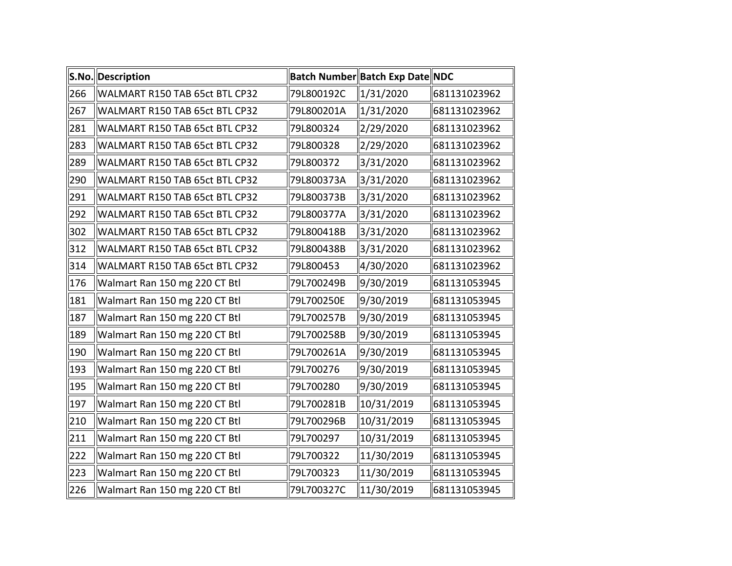|     | S.No. Description              |            | Batch Number Batch Exp Date NDC |              |
|-----|--------------------------------|------------|---------------------------------|--------------|
| 266 | WALMART R150 TAB 65ct BTL CP32 | 79L800192C | 1/31/2020                       | 681131023962 |
| 267 | WALMART R150 TAB 65ct BTL CP32 | 79L800201A | 1/31/2020                       | 681131023962 |
| 281 | WALMART R150 TAB 65ct BTL CP32 | 79L800324  | 2/29/2020                       | 681131023962 |
| 283 | WALMART R150 TAB 65ct BTL CP32 | 79L800328  | 2/29/2020                       | 681131023962 |
| 289 | WALMART R150 TAB 65ct BTL CP32 | 79L800372  | 3/31/2020                       | 681131023962 |
| 290 | WALMART R150 TAB 65ct BTL CP32 | 79L800373A | 3/31/2020                       | 681131023962 |
| 291 | WALMART R150 TAB 65ct BTL CP32 | 79L800373B | 3/31/2020                       | 681131023962 |
| 292 | WALMART R150 TAB 65ct BTL CP32 | 79L800377A | 3/31/2020                       | 681131023962 |
| 302 | WALMART R150 TAB 65ct BTL CP32 | 79L800418B | 3/31/2020                       | 681131023962 |
| 312 | WALMART R150 TAB 65ct BTL CP32 | 79L800438B | 3/31/2020                       | 681131023962 |
| 314 | WALMART R150 TAB 65ct BTL CP32 | 79L800453  | 4/30/2020                       | 681131023962 |
| 176 | Walmart Ran 150 mg 220 CT Btl  | 79L700249B | 9/30/2019                       | 681131053945 |
| 181 | Walmart Ran 150 mg 220 CT Btl  | 79L700250E | 9/30/2019                       | 681131053945 |
| 187 | Walmart Ran 150 mg 220 CT Btl  | 79L700257B | 9/30/2019                       | 681131053945 |
| 189 | Walmart Ran 150 mg 220 CT Btl  | 79L700258B | 9/30/2019                       | 681131053945 |
| 190 | Walmart Ran 150 mg 220 CT Btl  | 79L700261A | 9/30/2019                       | 681131053945 |
| 193 | Walmart Ran 150 mg 220 CT Btl  | 79L700276  | 9/30/2019                       | 681131053945 |
| 195 | Walmart Ran 150 mg 220 CT Btl  | 79L700280  | 9/30/2019                       | 681131053945 |
| 197 | Walmart Ran 150 mg 220 CT Btl  | 79L700281B | 10/31/2019                      | 681131053945 |
| 210 | Walmart Ran 150 mg 220 CT Btl  | 79L700296B | 10/31/2019                      | 681131053945 |
| 211 | Walmart Ran 150 mg 220 CT Btl  | 79L700297  | 10/31/2019                      | 681131053945 |
| 222 | Walmart Ran 150 mg 220 CT Btl  | 79L700322  | 11/30/2019                      | 681131053945 |
| 223 | Walmart Ran 150 mg 220 CT Btl  | 79L700323  | 11/30/2019                      | 681131053945 |
| 226 | Walmart Ran 150 mg 220 CT Btl  | 79L700327C | 11/30/2019                      | 681131053945 |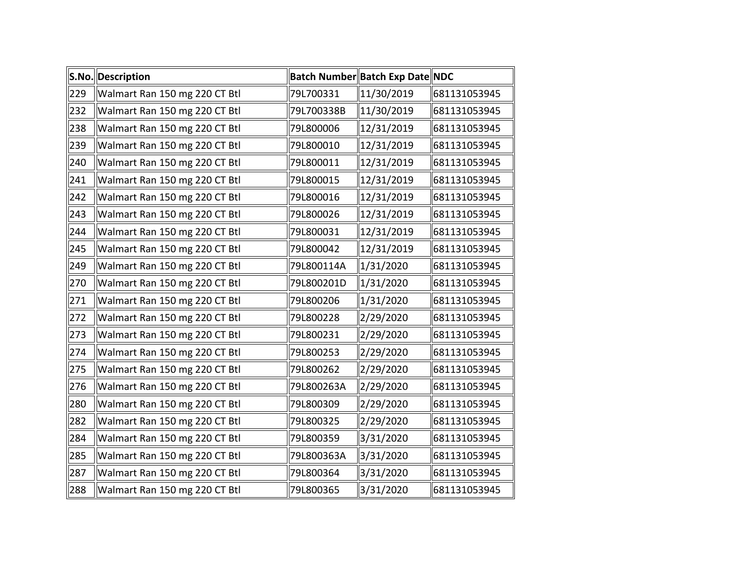|     | S.No. Description             |            | Batch Number Batch Exp Date NDC |              |
|-----|-------------------------------|------------|---------------------------------|--------------|
| 229 | Walmart Ran 150 mg 220 CT Btl | 79L700331  | 11/30/2019                      | 681131053945 |
| 232 | Walmart Ran 150 mg 220 CT Btl | 79L700338B | 11/30/2019                      | 681131053945 |
| 238 | Walmart Ran 150 mg 220 CT Btl | 79L800006  | 12/31/2019                      | 681131053945 |
| 239 | Walmart Ran 150 mg 220 CT Btl | 79L800010  | 12/31/2019                      | 681131053945 |
| 240 | Walmart Ran 150 mg 220 CT Btl | 79L800011  | 12/31/2019                      | 681131053945 |
| 241 | Walmart Ran 150 mg 220 CT Btl | 79L800015  | 12/31/2019                      | 681131053945 |
| 242 | Walmart Ran 150 mg 220 CT Btl | 79L800016  | 12/31/2019                      | 681131053945 |
| 243 | Walmart Ran 150 mg 220 CT Btl | 79L800026  | 12/31/2019                      | 681131053945 |
| 244 | Walmart Ran 150 mg 220 CT Btl | 79L800031  | 12/31/2019                      | 681131053945 |
| 245 | Walmart Ran 150 mg 220 CT Btl | 79L800042  | 12/31/2019                      | 681131053945 |
| 249 | Walmart Ran 150 mg 220 CT Btl | 79L800114A | 1/31/2020                       | 681131053945 |
| 270 | Walmart Ran 150 mg 220 CT Btl | 79L800201D | 1/31/2020                       | 681131053945 |
| 271 | Walmart Ran 150 mg 220 CT Btl | 79L800206  | 1/31/2020                       | 681131053945 |
| 272 | Walmart Ran 150 mg 220 CT Btl | 79L800228  | 2/29/2020                       | 681131053945 |
| 273 | Walmart Ran 150 mg 220 CT Btl | 79L800231  | 2/29/2020                       | 681131053945 |
| 274 | Walmart Ran 150 mg 220 CT Btl | 79L800253  | 2/29/2020                       | 681131053945 |
| 275 | Walmart Ran 150 mg 220 CT Btl | 79L800262  | 2/29/2020                       | 681131053945 |
| 276 | Walmart Ran 150 mg 220 CT Btl | 79L800263A | 2/29/2020                       | 681131053945 |
| 280 | Walmart Ran 150 mg 220 CT Btl | 79L800309  | 2/29/2020                       | 681131053945 |
| 282 | Walmart Ran 150 mg 220 CT Btl | 79L800325  | 2/29/2020                       | 681131053945 |
| 284 | Walmart Ran 150 mg 220 CT Btl | 79L800359  | 3/31/2020                       | 681131053945 |
| 285 | Walmart Ran 150 mg 220 CT Btl | 79L800363A | 3/31/2020                       | 681131053945 |
| 287 | Walmart Ran 150 mg 220 CT Btl | 79L800364  | 3/31/2020                       | 681131053945 |
| 288 | Walmart Ran 150 mg 220 CT Btl | 79L800365  | 3/31/2020                       | 681131053945 |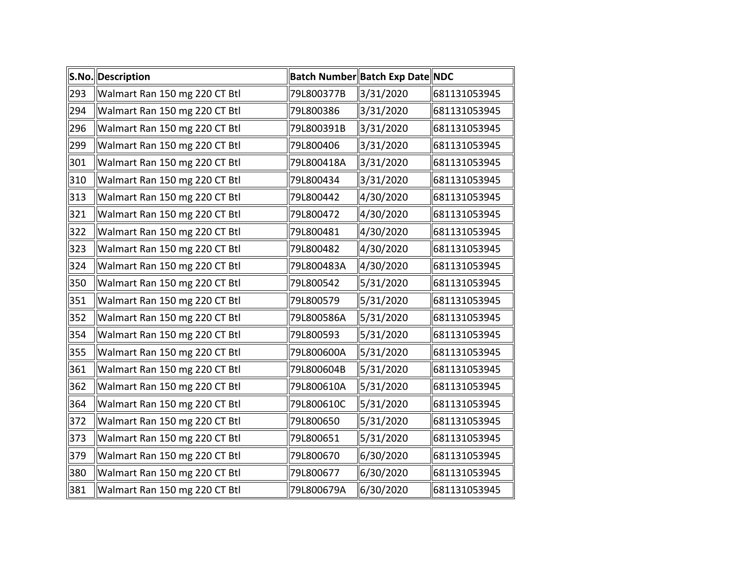|     | S.No. Description             |            | Batch Number Batch Exp Date NDC |              |
|-----|-------------------------------|------------|---------------------------------|--------------|
| 293 | Walmart Ran 150 mg 220 CT Btl | 79L800377B | 3/31/2020                       | 681131053945 |
| 294 | Walmart Ran 150 mg 220 CT Btl | 79L800386  | 3/31/2020                       | 681131053945 |
| 296 | Walmart Ran 150 mg 220 CT Btl | 79L800391B | 3/31/2020                       | 681131053945 |
| 299 | Walmart Ran 150 mg 220 CT Btl | 79L800406  | 3/31/2020                       | 681131053945 |
| 301 | Walmart Ran 150 mg 220 CT Btl | 79L800418A | 3/31/2020                       | 681131053945 |
| 310 | Walmart Ran 150 mg 220 CT Btl | 79L800434  | 3/31/2020                       | 681131053945 |
| 313 | Walmart Ran 150 mg 220 CT Btl | 79L800442  | 4/30/2020                       | 681131053945 |
| 321 | Walmart Ran 150 mg 220 CT Btl | 79L800472  | 4/30/2020                       | 681131053945 |
| 322 | Walmart Ran 150 mg 220 CT Btl | 79L800481  | 4/30/2020                       | 681131053945 |
| 323 | Walmart Ran 150 mg 220 CT Btl | 79L800482  | 4/30/2020                       | 681131053945 |
| 324 | Walmart Ran 150 mg 220 CT Btl | 79L800483A | 4/30/2020                       | 681131053945 |
| 350 | Walmart Ran 150 mg 220 CT Btl | 79L800542  | 5/31/2020                       | 681131053945 |
| 351 | Walmart Ran 150 mg 220 CT Btl | 79L800579  | 5/31/2020                       | 681131053945 |
| 352 | Walmart Ran 150 mg 220 CT Btl | 79L800586A | 5/31/2020                       | 681131053945 |
| 354 | Walmart Ran 150 mg 220 CT Btl | 79L800593  | 5/31/2020                       | 681131053945 |
| 355 | Walmart Ran 150 mg 220 CT Btl | 79L800600A | 5/31/2020                       | 681131053945 |
| 361 | Walmart Ran 150 mg 220 CT Btl | 79L800604B | 5/31/2020                       | 681131053945 |
| 362 | Walmart Ran 150 mg 220 CT Btl | 79L800610A | 5/31/2020                       | 681131053945 |
| 364 | Walmart Ran 150 mg 220 CT Btl | 79L800610C | 5/31/2020                       | 681131053945 |
| 372 | Walmart Ran 150 mg 220 CT Btl | 79L800650  | 5/31/2020                       | 681131053945 |
| 373 | Walmart Ran 150 mg 220 CT Btl | 79L800651  | 5/31/2020                       | 681131053945 |
| 379 | Walmart Ran 150 mg 220 CT Btl | 79L800670  | 6/30/2020                       | 681131053945 |
| 380 | Walmart Ran 150 mg 220 CT Btl | 79L800677  | 6/30/2020                       | 681131053945 |
| 381 | Walmart Ran 150 mg 220 CT Btl | 79L800679A | 6/30/2020                       | 681131053945 |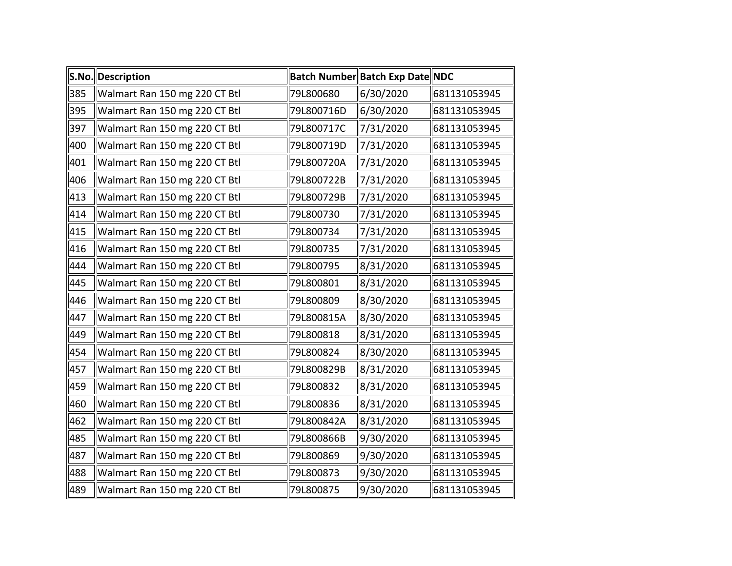|     | S.No. Description             |            | Batch Number Batch Exp Date NDC |              |
|-----|-------------------------------|------------|---------------------------------|--------------|
| 385 | Walmart Ran 150 mg 220 CT Btl | 79L800680  | 6/30/2020                       | 681131053945 |
| 395 | Walmart Ran 150 mg 220 CT Btl | 79L800716D | 6/30/2020                       | 681131053945 |
| 397 | Walmart Ran 150 mg 220 CT Btl | 79L800717C | 7/31/2020                       | 681131053945 |
| 400 | Walmart Ran 150 mg 220 CT Btl | 79L800719D | 7/31/2020                       | 681131053945 |
| 401 | Walmart Ran 150 mg 220 CT Btl | 79L800720A | 7/31/2020                       | 681131053945 |
| 406 | Walmart Ran 150 mg 220 CT Btl | 79L800722B | 7/31/2020                       | 681131053945 |
| 413 | Walmart Ran 150 mg 220 CT Btl | 79L800729B | 7/31/2020                       | 681131053945 |
| 414 | Walmart Ran 150 mg 220 CT Btl | 79L800730  | 7/31/2020                       | 681131053945 |
| 415 | Walmart Ran 150 mg 220 CT Btl | 79L800734  | 7/31/2020                       | 681131053945 |
| 416 | Walmart Ran 150 mg 220 CT Btl | 79L800735  | 7/31/2020                       | 681131053945 |
| 444 | Walmart Ran 150 mg 220 CT Btl | 79L800795  | 8/31/2020                       | 681131053945 |
| 445 | Walmart Ran 150 mg 220 CT Btl | 79L800801  | 8/31/2020                       | 681131053945 |
| 446 | Walmart Ran 150 mg 220 CT Btl | 79L800809  | 8/30/2020                       | 681131053945 |
| 447 | Walmart Ran 150 mg 220 CT Btl | 79L800815A | 8/30/2020                       | 681131053945 |
| 449 | Walmart Ran 150 mg 220 CT Btl | 79L800818  | 8/31/2020                       | 681131053945 |
| 454 | Walmart Ran 150 mg 220 CT Btl | 79L800824  | 8/30/2020                       | 681131053945 |
| 457 | Walmart Ran 150 mg 220 CT Btl | 79L800829B | 8/31/2020                       | 681131053945 |
| 459 | Walmart Ran 150 mg 220 CT Btl | 79L800832  | 8/31/2020                       | 681131053945 |
| 460 | Walmart Ran 150 mg 220 CT Btl | 79L800836  | 8/31/2020                       | 681131053945 |
| 462 | Walmart Ran 150 mg 220 CT Btl | 79L800842A | 8/31/2020                       | 681131053945 |
| 485 | Walmart Ran 150 mg 220 CT Btl | 79L800866B | 9/30/2020                       | 681131053945 |
| 487 | Walmart Ran 150 mg 220 CT Btl | 79L800869  | 9/30/2020                       | 681131053945 |
| 488 | Walmart Ran 150 mg 220 CT Btl | 79L800873  | 9/30/2020                       | 681131053945 |
| 489 | Walmart Ran 150 mg 220 CT Btl | 79L800875  | 9/30/2020                       | 681131053945 |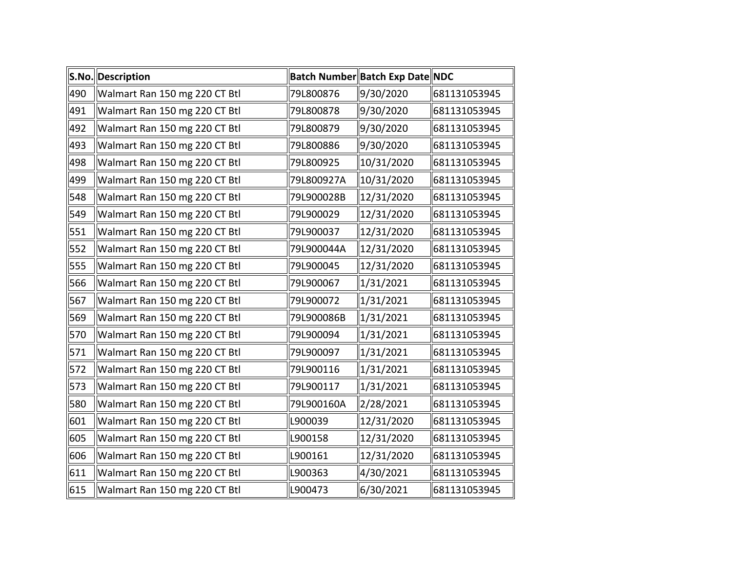|     | S.No. Description             |            | Batch Number Batch Exp Date NDC |              |
|-----|-------------------------------|------------|---------------------------------|--------------|
| 490 | Walmart Ran 150 mg 220 CT Btl | 79L800876  | 9/30/2020                       | 681131053945 |
| 491 | Walmart Ran 150 mg 220 CT Btl | 79L800878  | 9/30/2020                       | 681131053945 |
| 492 | Walmart Ran 150 mg 220 CT Btl | 79L800879  | 9/30/2020                       | 681131053945 |
| 493 | Walmart Ran 150 mg 220 CT Btl | 79L800886  | 9/30/2020                       | 681131053945 |
| 498 | Walmart Ran 150 mg 220 CT Btl | 79L800925  | 10/31/2020                      | 681131053945 |
| 499 | Walmart Ran 150 mg 220 CT Btl | 79L800927A | 10/31/2020                      | 681131053945 |
| 548 | Walmart Ran 150 mg 220 CT Btl | 79L900028B | 12/31/2020                      | 681131053945 |
| 549 | Walmart Ran 150 mg 220 CT Btl | 79L900029  | 12/31/2020                      | 681131053945 |
| 551 | Walmart Ran 150 mg 220 CT Btl | 79L900037  | 12/31/2020                      | 681131053945 |
| 552 | Walmart Ran 150 mg 220 CT Btl | 79L900044A | 12/31/2020                      | 681131053945 |
| 555 | Walmart Ran 150 mg 220 CT Btl | 79L900045  | 12/31/2020                      | 681131053945 |
| 566 | Walmart Ran 150 mg 220 CT Btl | 79L900067  | 1/31/2021                       | 681131053945 |
| 567 | Walmart Ran 150 mg 220 CT Btl | 79L900072  | 1/31/2021                       | 681131053945 |
| 569 | Walmart Ran 150 mg 220 CT Btl | 79L900086B | 1/31/2021                       | 681131053945 |
| 570 | Walmart Ran 150 mg 220 CT Btl | 79L900094  | 1/31/2021                       | 681131053945 |
| 571 | Walmart Ran 150 mg 220 CT Btl | 79L900097  | 1/31/2021                       | 681131053945 |
| 572 | Walmart Ran 150 mg 220 CT Btl | 79L900116  | 1/31/2021                       | 681131053945 |
| 573 | Walmart Ran 150 mg 220 CT Btl | 79L900117  | 1/31/2021                       | 681131053945 |
| 580 | Walmart Ran 150 mg 220 CT Btl | 79L900160A | 2/28/2021                       | 681131053945 |
| 601 | Walmart Ran 150 mg 220 CT Btl | L900039    | 12/31/2020                      | 681131053945 |
| 605 | Walmart Ran 150 mg 220 CT Btl | L900158    | 12/31/2020                      | 681131053945 |
| 606 | Walmart Ran 150 mg 220 CT Btl | L900161    | 12/31/2020                      | 681131053945 |
| 611 | Walmart Ran 150 mg 220 CT Btl | L900363    | 4/30/2021                       | 681131053945 |
| 615 | Walmart Ran 150 mg 220 CT Btl | L900473    | 6/30/2021                       | 681131053945 |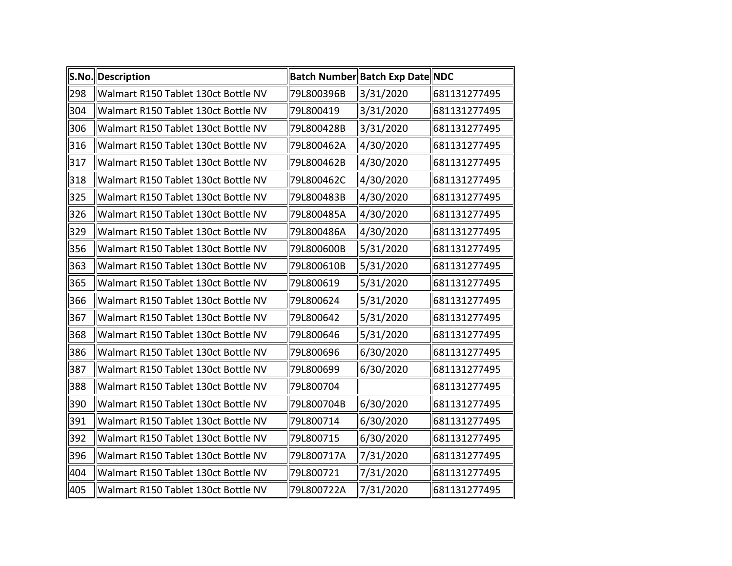|     | S.No. Description                   |            | Batch Number Batch Exp Date NDC |              |
|-----|-------------------------------------|------------|---------------------------------|--------------|
| 298 | Walmart R150 Tablet 130ct Bottle NV | 79L800396B | 3/31/2020                       | 681131277495 |
| 304 | Walmart R150 Tablet 130ct Bottle NV | 79L800419  | 3/31/2020                       | 681131277495 |
| 306 | Walmart R150 Tablet 130ct Bottle NV | 79L800428B | 3/31/2020                       | 681131277495 |
| 316 | Walmart R150 Tablet 130ct Bottle NV | 79L800462A | 4/30/2020                       | 681131277495 |
| 317 | Walmart R150 Tablet 130ct Bottle NV | 79L800462B | 4/30/2020                       | 681131277495 |
| 318 | Walmart R150 Tablet 130ct Bottle NV | 79L800462C | 4/30/2020                       | 681131277495 |
| 325 | Walmart R150 Tablet 130ct Bottle NV | 79L800483B | 4/30/2020                       | 681131277495 |
| 326 | Walmart R150 Tablet 130ct Bottle NV | 79L800485A | 4/30/2020                       | 681131277495 |
| 329 | Walmart R150 Tablet 130ct Bottle NV | 79L800486A | 4/30/2020                       | 681131277495 |
| 356 | Walmart R150 Tablet 130ct Bottle NV | 79L800600B | 5/31/2020                       | 681131277495 |
| 363 | Walmart R150 Tablet 130ct Bottle NV | 79L800610B | 5/31/2020                       | 681131277495 |
| 365 | Walmart R150 Tablet 130ct Bottle NV | 79L800619  | 5/31/2020                       | 681131277495 |
| 366 | Walmart R150 Tablet 130ct Bottle NV | 79L800624  | 5/31/2020                       | 681131277495 |
| 367 | Walmart R150 Tablet 130ct Bottle NV | 79L800642  | 5/31/2020                       | 681131277495 |
| 368 | Walmart R150 Tablet 130ct Bottle NV | 79L800646  | 5/31/2020                       | 681131277495 |
| 386 | Walmart R150 Tablet 130ct Bottle NV | 79L800696  | 6/30/2020                       | 681131277495 |
| 387 | Walmart R150 Tablet 130ct Bottle NV | 79L800699  | 6/30/2020                       | 681131277495 |
| 388 | Walmart R150 Tablet 130ct Bottle NV | 79L800704  |                                 | 681131277495 |
| 390 | Walmart R150 Tablet 130ct Bottle NV | 79L800704B | 6/30/2020                       | 681131277495 |
| 391 | Walmart R150 Tablet 130ct Bottle NV | 79L800714  | 6/30/2020                       | 681131277495 |
| 392 | Walmart R150 Tablet 130ct Bottle NV | 79L800715  | 6/30/2020                       | 681131277495 |
| 396 | Walmart R150 Tablet 130ct Bottle NV | 79L800717A | 7/31/2020                       | 681131277495 |
| 404 | Walmart R150 Tablet 130ct Bottle NV | 79L800721  | 7/31/2020                       | 681131277495 |
| 405 | Walmart R150 Tablet 130ct Bottle NV | 79L800722A | 7/31/2020                       | 681131277495 |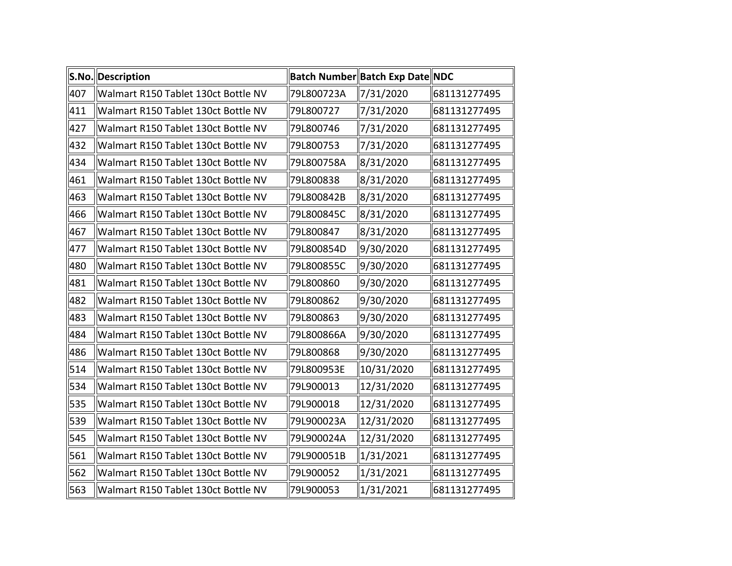|     | S.No. Description                   |            | Batch Number Batch Exp Date NDC |              |
|-----|-------------------------------------|------------|---------------------------------|--------------|
| 407 | Walmart R150 Tablet 130ct Bottle NV | 79L800723A | 7/31/2020                       | 681131277495 |
| 411 | Walmart R150 Tablet 130ct Bottle NV | 79L800727  | 7/31/2020                       | 681131277495 |
| 427 | Walmart R150 Tablet 130ct Bottle NV | 79L800746  | 7/31/2020                       | 681131277495 |
| 432 | Walmart R150 Tablet 130ct Bottle NV | 79L800753  | 7/31/2020                       | 681131277495 |
| 434 | Walmart R150 Tablet 130ct Bottle NV | 79L800758A | 8/31/2020                       | 681131277495 |
| 461 | Walmart R150 Tablet 130ct Bottle NV | 79L800838  | 8/31/2020                       | 681131277495 |
| 463 | Walmart R150 Tablet 130ct Bottle NV | 79L800842B | 8/31/2020                       | 681131277495 |
| 466 | Walmart R150 Tablet 130ct Bottle NV | 79L800845C | 8/31/2020                       | 681131277495 |
| 467 | Walmart R150 Tablet 130ct Bottle NV | 79L800847  | 8/31/2020                       | 681131277495 |
| 477 | Walmart R150 Tablet 130ct Bottle NV | 79L800854D | 9/30/2020                       | 681131277495 |
| 480 | Walmart R150 Tablet 130ct Bottle NV | 79L800855C | 9/30/2020                       | 681131277495 |
| 481 | Walmart R150 Tablet 130ct Bottle NV | 79L800860  | 9/30/2020                       | 681131277495 |
| 482 | Walmart R150 Tablet 130ct Bottle NV | 79L800862  | 9/30/2020                       | 681131277495 |
| 483 | Walmart R150 Tablet 130ct Bottle NV | 79L800863  | 9/30/2020                       | 681131277495 |
| 484 | Walmart R150 Tablet 130ct Bottle NV | 79L800866A | 9/30/2020                       | 681131277495 |
| 486 | Walmart R150 Tablet 130ct Bottle NV | 79L800868  | 9/30/2020                       | 681131277495 |
| 514 | Walmart R150 Tablet 130ct Bottle NV | 79L800953E | 10/31/2020                      | 681131277495 |
| 534 | Walmart R150 Tablet 130ct Bottle NV | 79L900013  | 12/31/2020                      | 681131277495 |
| 535 | Walmart R150 Tablet 130ct Bottle NV | 79L900018  | 12/31/2020                      | 681131277495 |
| 539 | Walmart R150 Tablet 130ct Bottle NV | 79L900023A | 12/31/2020                      | 681131277495 |
| 545 | Walmart R150 Tablet 130ct Bottle NV | 79L900024A | 12/31/2020                      | 681131277495 |
| 561 | Walmart R150 Tablet 130ct Bottle NV | 79L900051B | $\frac{1}{31/2021}$             | 681131277495 |
| 562 | Walmart R150 Tablet 130ct Bottle NV | 79L900052  | $\ 1/31/2021$                   | 681131277495 |
| 563 | Walmart R150 Tablet 130ct Bottle NV | 79L900053  | 1/31/2021                       | 681131277495 |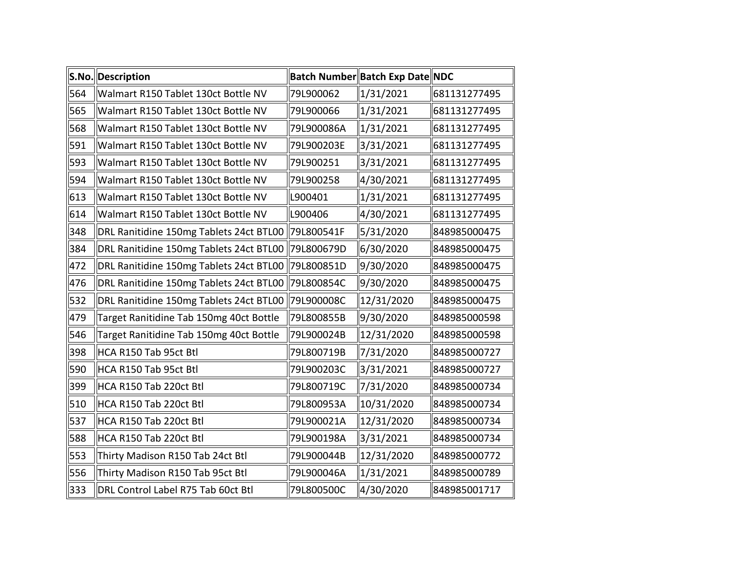|     | S.No. Description                       |            | Batch Number Batch Exp Date NDC |              |
|-----|-----------------------------------------|------------|---------------------------------|--------------|
| 564 | Walmart R150 Tablet 130ct Bottle NV     | 79L900062  | 1/31/2021                       | 681131277495 |
| 565 | Walmart R150 Tablet 130ct Bottle NV     | 79L900066  | 1/31/2021                       | 681131277495 |
| 568 | Walmart R150 Tablet 130ct Bottle NV     | 79L900086A | 1/31/2021                       | 681131277495 |
| 591 | Walmart R150 Tablet 130ct Bottle NV     | 79L900203E | 3/31/2021                       | 681131277495 |
| 593 | Walmart R150 Tablet 130ct Bottle NV     | 79L900251  | 3/31/2021                       | 681131277495 |
| 594 | Walmart R150 Tablet 130ct Bottle NV     | 79L900258  | 4/30/2021                       | 681131277495 |
| 613 | Walmart R150 Tablet 130ct Bottle NV     | L900401    | 1/31/2021                       | 681131277495 |
| 614 | Walmart R150 Tablet 130ct Bottle NV     | L900406    | 4/30/2021                       | 681131277495 |
| 348 | DRL Ranitidine 150mg Tablets 24ct BTL00 | 79L800541F | 5/31/2020                       | 848985000475 |
| 384 | DRL Ranitidine 150mg Tablets 24ct BTL00 | 79L800679D | 6/30/2020                       | 848985000475 |
| 472 | DRL Ranitidine 150mg Tablets 24ct BTL00 | 79L800851D | 9/30/2020                       | 848985000475 |
| 476 | DRL Ranitidine 150mg Tablets 24ct BTL00 | 79L800854C | 9/30/2020                       | 848985000475 |
| 532 | DRL Ranitidine 150mg Tablets 24ct BTL00 | 79L900008C | 12/31/2020                      | 848985000475 |
| 479 | Target Ranitidine Tab 150mg 40ct Bottle | 79L800855B | 9/30/2020                       | 848985000598 |
| 546 | Target Ranitidine Tab 150mg 40ct Bottle | 79L900024B | 12/31/2020                      | 848985000598 |
| 398 | HCA R150 Tab 95ct Btl                   | 79L800719B | 7/31/2020                       | 848985000727 |
| 590 | HCA R150 Tab 95ct Btl                   | 79L900203C | 3/31/2021                       | 848985000727 |
| 399 | HCA R150 Tab 220ct Btl                  | 79L800719C | 7/31/2020                       | 848985000734 |
| 510 | HCA R150 Tab 220ct Btl                  | 79L800953A | 10/31/2020                      | 848985000734 |
| 537 | HCA R150 Tab 220ct Btl                  | 79L900021A | 12/31/2020                      | 848985000734 |
| 588 | HCA R150 Tab 220ct Btl                  | 79L900198A | 3/31/2021                       | 848985000734 |
| 553 | Thirty Madison R150 Tab 24ct Btl        | 79L900044B | 12/31/2020                      | 848985000772 |
| 556 | Thirty Madison R150 Tab 95ct Btl        | 79L900046A | 1/31/2021                       | 848985000789 |
| 333 | DRL Control Label R75 Tab 60ct Btl      | 79L800500C | 4/30/2020                       | 848985001717 |